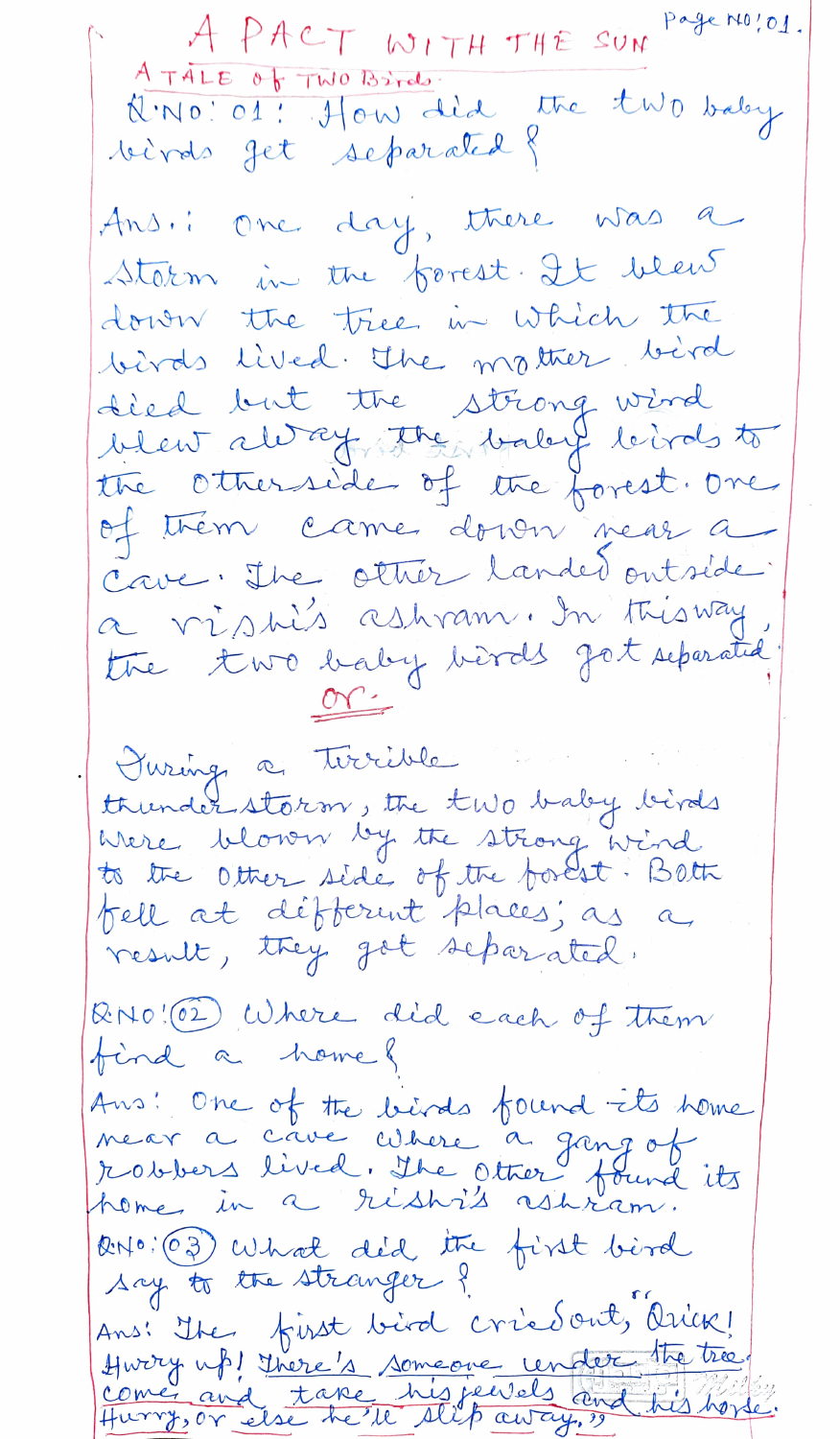A PACT WITH THE SUN PAGEMO!OI. A TALE Of TWO Brinds. N.NO: 01: How did the two baby birds get separated? Ans.: One day, there was a Starm in the forest. It went down the tree in which the birds lived. The mother, bird died but the strong wind blew always the baby birds to the otherside of the forest. One of them came down near a Cave, The other landed outside a visis ashram. In this way the two baby birds got separated  $or$ Juring a tirrible thunderstorm, the two baby birds Were blown by the strong wird to the Other side of the foolst. Both fell at défferent places; as a result, they got separated. RNO! (2) Where did each of them find a home? Ans: One of the birds found its home near a cave where a gang of robbers lived. The other found its RNO: (03) What did the first bird say to the stranger? Ans! The first bird criedout, Oriez! Hurry up! There's someone under the tree!<br>Come and take his feerels and his horse.